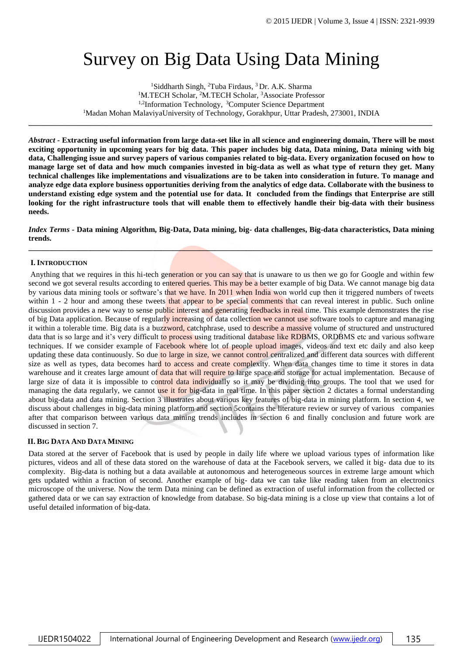# Survey on Big Data Using Data Mining

<sup>1</sup>Siddharth Singh, <sup>2</sup>Tuba Firdaus, <sup>3</sup> Dr. A.K. Sharma <sup>1</sup>M.TECH Scholar, <sup>2</sup>M.TECH Scholar, <sup>3</sup>Associate Professor <sup>1,2</sup>Information Technology, <sup>3</sup>Computer Science Department <sup>1</sup>Madan Mohan MalaviyaUniversity of Technology, Gorakhpur, Uttar Pradesh, 273001, INDIA

**\_\_\_\_\_\_\_\_\_\_\_\_\_\_\_\_\_\_\_\_\_\_\_\_\_\_\_\_\_\_\_\_\_\_\_\_\_\_\_\_\_\_\_\_\_\_\_\_\_\_\_\_\_\_\_\_\_\_\_\_\_\_\_\_\_\_\_\_\_\_\_\_\_\_\_\_\_\_\_\_\_\_\_\_\_\_\_\_\_\_\_\_\_\_\_\_\_\_\_\_\_\_\_\_**

*Abstract -* **Extracting useful information from large data-set like in all science and engineering domain, There will be most exciting opportunity in upcoming years for big data. This paper includes big data, Data mining, Data mining with big data, Challenging issue and survey papers of various companies related to big-data. Every organization focused on how to manage large set of data and how much companies invested in big-data as well as what type of return they get. Many technical challenges like implementations and visualizations are to be taken into consideration in future. To manage and analyze edge data explore business opportunities deriving from the analytics of edge data. Collaborate with the business to understand existing edge system and the potential use for data. It concluded from the findings that Enterprise are still looking for the right infrastructure tools that will enable them to effectively handle their big-data with their business needs.**

*Index Terms -* **Data mining Algorithm, Big-Data, Data mining, big- data challenges, Big-data characteristics, Data mining trends. \_\_\_\_\_\_\_\_\_\_\_\_\_\_\_\_\_\_\_\_\_\_\_\_\_\_\_\_\_\_\_\_\_\_\_\_\_\_\_\_\_\_\_\_\_\_\_\_\_\_\_\_\_\_\_\_\_\_\_\_\_\_\_\_\_\_\_\_\_\_\_\_\_\_\_\_\_\_\_\_\_\_\_\_\_\_\_\_\_\_\_\_\_\_\_\_\_\_\_\_\_\_\_\_**

## **I.INTRODUCTION**

Anything that we requires in this hi-tech generation or you can say that is unaware to us then we go for Google and within few second we got several results according to entered queries. This may be a better example of big Data. We cannot manage big data by various data mining tools or software's that we have. In 2011 when India won world cup then it triggered numbers of tweets within 1 - 2 hour and among these tweets that appear to be special comments that can reveal interest in public. Such online discussion provides a new way to sense public interest and generating feedbacks in real time. This example demonstrates the rise of big Data application. Because of regularly increasing of data collection we cannot use software tools to capture and managing it within a tolerable time. Big data is a buzzword, catchphrase, used to describe a massive volume of structured and unstructured data that is so large and it's very difficult to process using traditional database like RDBMS, ORDBMS etc and various software techniques. If we consider example of Facebook where lot of people upload images, videos and text etc daily and also keep updating these data continuously. So due to large in size, we cannot control centralized and different data sources with different size as well as types, data becomes hard to access and create complexity. When data changes time to time it stores in data warehouse and it creates large amount of data that will require to large space and storage for actual implementation. Because of large size of data it is impossible to control data individually so it may be dividing into groups. The tool that we used for managing the data regularly, we cannot use it for big-data in real time. In this paper section 2 dictates a formal understanding about big-data and data mining. Section 3 illustrates about various key features of big-data in mining platform. In section 4, we discuss about challenges in big-data mining platform and section 5contains the literature review or survey of various companies after that comparison between various data mining trends includes in section 6 and finally conclusion and future work are discussed in section 7.

## **II. BIG DATA AND DATA MINING**

Data stored at the server of Facebook that is used by people in daily life where we upload various types of information like pictures, videos and all of these data stored on the warehouse of data at the Facebook servers, we called it big- data due to its complexity. Big-data is nothing but a data available at autonomous and heterogeneous sources in extreme large amount which gets updated within a fraction of second. Another example of big- data we can take like reading taken from an electronics microscope of the universe. Now the term Data mining can be defined as extraction of useful information from the collected or gathered data or we can say extraction of knowledge from database. So big-data mining is a close up view that contains a lot of useful detailed information of big-data.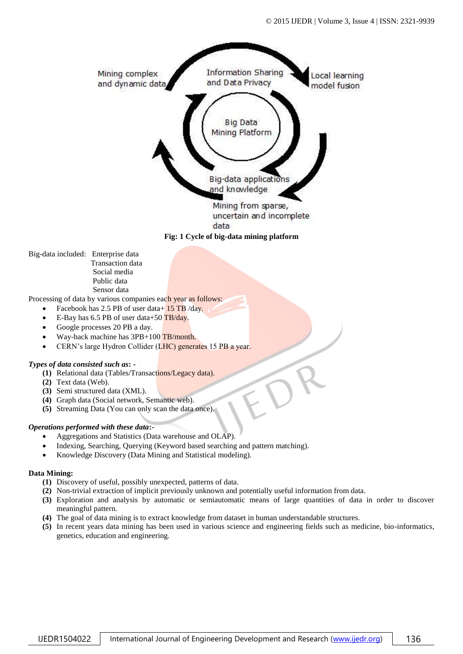

**Fig: 1 Cycle of big-data mining platform**

Big-data included: Enterprise data Transaction data Social media Public data Sensor data

Processing of data by various companies each year as follows:

- Facebook has 2.5 PB of user data+ 15 TB /day.
- E-Bay has 6.5 PB of user data+50 TB/day.
- Google processes 20 PB a day.
- Way-back machine has 3PB+100 TB/month.
- CERN's large Hydron Collider (LHC) generates 15 PB a year.

## *Types of data consisted such as***: -**

- **(1)** Relational data (Tables/Transactions/Legacy data).
- **(2)** Text data (Web).
- **(3)** Semi structured data (XML).
- **(4)** Graph data (Social network, Semantic web).
- **(5)** Streaming Data (You can only scan the data once).

## *Operations performed with these data***:-**

- Aggregations and Statistics (Data warehouse and OLAP).
- Indexing, Searching, Querying (Keyword based searching and pattern matching).
- Knowledge Discovery (Data Mining and Statistical modeling).

## **Data Mining:**

- **(1)** Discovery of useful, possibly unexpected, patterns of data.
- **(2)** Non-trivial extraction of implicit previously unknown and potentially useful information from data.
- **(3)** Exploration and analysis by automatic or semiautomatic means of large quantities of data in order to discover meaningful pattern.
- **(4)** The goal of data mining is to extract knowledge from dataset in human understandable structures.
- **(5)** In recent years data mining has been used in various science and engineering fields such as medicine, bio-informatics, genetics, education and engineering.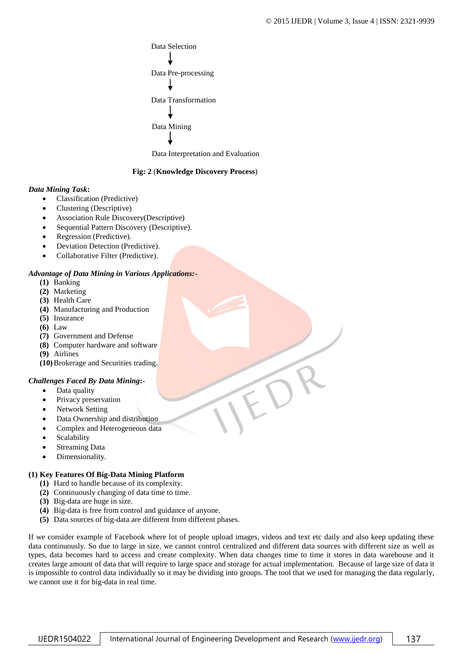

Data Interpretation and Evaluation

## **Fig: 2** (**Knowledge Discovery Process**)

## *Data Mining Task***:**

- Classification (Predictive)
- Clustering (Descriptive)
- Association Rule Discovery(Descriptive)
- Sequential Pattern Discovery (Descriptive).
- Regression (Predictive).
- Deviation Detection (Predictive).
- Collaborative Filter (Predictive).

## *Advantage of Data Mining in Various Applications:-*

- **(1)** Banking
- **(2)** Marketing
- **(3)** Health Care
- **(4)** Manufacturing and Production
- **(5)** Insurance
- **(6)** Law
- **(7)** Government and Defense
- **(8)** Computer hardware and software
- **(9)** Airlines

**(10)**Brokerage and Securities trading.

## *Challenges Faced By Data Mining***:-**

- Data quality
- Privacy preservation
- Network Setting
- Data Ownership and distribution
- Complex and Heterogeneous data
- Scalability
- Streaming Data
- Dimensionality.

## **(1) Key Features Of Big-Data Mining Platform**

- **(1)** Hard to handle because of its complexity.
- **(2)** Continuously changing of data time to time.
- **(3)** Big-data are huge in size.
- **(4)** Big-data is free from control and guidance of anyone.
- **(5)** Data sources of big-data are different from different phases.

If we consider example of Facebook where lot of people upload images, videos and text etc daily and also keep updating these data continuously. So due to large in size, we cannot control centralized and different data sources with different size as well as types, data becomes hard to access and create complexity. When data changes time to time it stores in data warehouse and it creates large amount of data that will require to large space and storage for actual implementation. Because of large size of data it is impossible to control data individually so it may be dividing into groups. The tool that we used for managing the data regularly, we cannot use it for big-data in real time.

IJEDR1504022 | International Journal of Engineering Development and Research [\(www.ijedr.org\)](file:///E:/Planet%20Publication/IJEDR/Volume%203/Vol%203%20Issue%202/Published_Paper_V3_I2/www.ijedr.org) | 137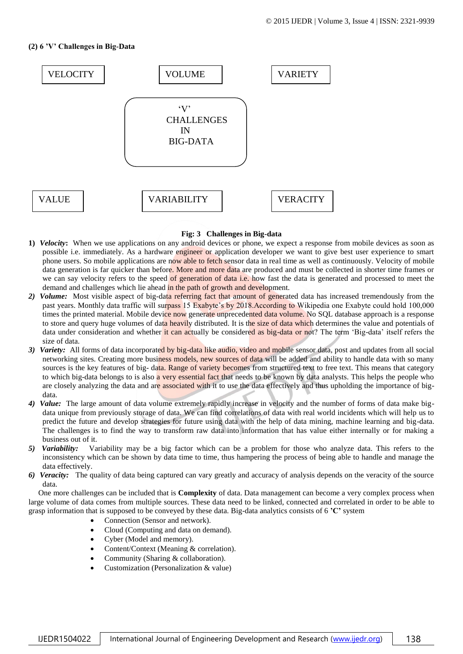# **(2) 6 'V' Challenges in Big-Data**



## **Fig: 3 Challenges in Big-data**

- **1)** *Velocity***:** When we use applications on any android devices or phone, we expect a response from mobile devices as soon as possible i.e. immediately. As a hardware engineer or application developer we want to give best user experience to smart phone users. So mobile applications are now able to fetch sensor data in real time as well as continuously. Velocity of mobile data generation is far quicker than before. More and more data are produced and must be collected in shorter time frames or we can say velocity refers to the speed of generation of data i.e. how fast the data is generated and processed to meet the demand and challenges which lie ahead in the path of growth and development.
- 2) *Volume:* Most visible aspect of big-data referring fact that amount of generated data has increased tremendously from the past years. Monthly data traffic will surpass 15 Exabyte's by 2018.According to Wikipedia one Exabyte could hold 100,000 times the printed material. Mobile device now generate unprecedented data volume. No SQL database approach is a response to store and query huge volumes of data heavily distributed. It is the size of data which determines the value and potentials of data under consideration and whether it can actually be considered as big-data or not? The term 'Big-data' itself refers the size of data.
- *3) Variety:* All forms of data incorporated by big-data like audio, video and mobile sensor data, post and updates from all social networking sites. Creating more business models, new sources of data will be added and ability to handle data with so many sources is the key features of big- data. Range of variety becomes from structured text to free text. This means that category to which big-data belongs to is also a very essential fact that needs to be known by data analysts. This helps the people who are closely analyzing the data and are associated with it to use the data effectively and thus upholding the importance of bigdata.
- *4) Value:* The large amount of data volume extremely rapidly increase in velocity and the number of forms of data make bigdata unique from previously storage of data. We can find correlations of data with real world incidents which will help us to predict the future and develop strategies for future using data with the help of data mining, machine learning and big-data. The challenges is to find the way to transform raw data into information that has value either internally or for making a business out of it.
- *5) Variability:* Variability may be a big factor which can be a problem for those who analyze data. This refers to the inconsistency which can be shown by data time to time, thus hampering the process of being able to handle and manage the data effectively.
- *6) Veracity:* The quality of data being captured can vary greatly and accuracy of analysis depends on the veracity of the source data.

One more challenges can be included that is **Complexity** of data. Data management can become a very complex process when large volume of data comes from multiple sources. These data need to be linked, connected and correlated in order to be able to grasp information that is supposed to be conveyed by these data. Big-data analytics consists of 6 **'C'** system

- Connection (Sensor and network).
- Cloud (Computing and data on demand).
- Cyber (Model and memory).
- Content/Context (Meaning & correlation).
- Community (Sharing & collaboration).
- Customization (Personalization & value)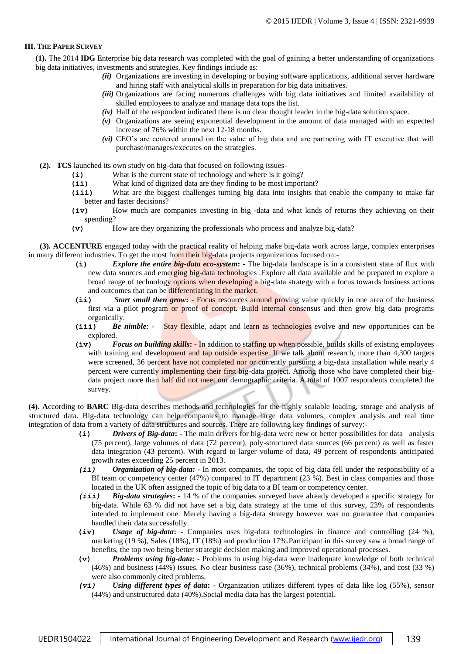## **III. THE PAPER SURVEY**

**(1).** The 2014 **IDG** Enterprise big data research was completed with the goal of gaining a better understanding of organizations big data initiatives, investments and strategies. Key findings include as:

- *(ii)* Organizations are investing in developing or buying software applications, additional server hardware and hiring staff with analytical skills in preparation for big data initiatives.
- *(iii)* Organizations are facing numerous challenges with big data initiatives and limited availability of skilled employees to analyze and manage data tops the list.
- *(iv)* Half of the respondent indicated there is no clear thought leader in the big-data solution space.
- *(v)* Organizations are seeing exponential development in the amount of data managed with an expected increase of 76% within the next 12-18 months.
- *(vi)* CEO's are centered around on the value of big data and are partnering with IT executive that will purchase/manages/executes on the strategies.
- **(2). TCS** launched its own study on big-data that focused on following issues-
	- **(i)** What is the current state of technology and where is it going?
	- **(ii)** What kind of digitized data are they finding to be most important?
	- **(iii)** What are the biggest challenges turning big data into insights that enable the company to make far better and faster decisions?
	- **(iv)** How much are companies investing in big -data and what kinds of returns they achieving on their spending?
	- **(v)** How are they organizing the professionals who process and analyze big-data?

**(3). ACCENTURE** engaged today with the practical reality of helping make big-data work across large, complex enterprises in many different industries. To get the most from their big-data projects organizations focused on:-

- **(i)** *Explore the entire big-data eco-system***: -** The big-data landscape is in a consistent state of flux with new data sources and emerging big-data technologies .Explore all data available and be prepared to explore a broad range of technology options when developing a big-data strategy with a focus towards business actions and outcomes that can be differentiating in the market.
- **(ii)** *Start small then grow***:**  Focus resources around proving value quickly in one area of the business first via a pilot program or proof of concept. Build internal consensus and then grow big data programs organically.
- (iii) *Be nimble*: Stay flexible, adapt and learn as technologies evolve and new opportunities can be explored.
- **(iv)** *Focus on building skills***: -** In addition to staffing up when possible, builds skills of existing employees with training and development and tap outside expertise. If we talk about research, more than 4,300 targets were screened, 36 percent have not completed nor or currently pursuing a big-data installation while nearly 4 percent were currently implementing their first big-data project. Among those who have completed their bigdata project more than half did not meet our demographic criteria. A total of 1007 respondents completed the survey.

**(4). A**ccording to **BARC** Big-data describes methods and technologies for the highly scalable loading, storage and analysis of structured data. Big-data technology can help companies to manage large data volumes, complex analysis and real time integration of data from a variety of data structures and sources. There are following key findings of survey:-

- **(i)** *Drivers of Big-data***: -** The main drivers for big-data were new or better possibilities for data analysis (75 percent), large volumes of data (72 percent), poly-structured data sources (66 percent) as well as faster data integration (43 percent). With regard to larger volume of data, 49 percent of respondents anticipated growth rates exceeding 25 percent in 2013.
- *(ii) Organization of big-data: -* In most companies, the topic of big data fell under the responsibility of a BI team or competency center (47%) compared to IT department (23 %). Best in class companies and those located in the UK often assigned the topic of big data to a BI team or competency center.
- *(iii) Big-data strategies***: -** 14 % of the companies surveyed have already developed a specific strategy for big-data. While 63 % did not have set a big data strategy at the time of this survey, 23% of respondents intended to implement one. Merely having a big-data strategy however was no guarantee that companies handled their data successfully.
- **(iv)** *Usage of big-data***: -** Companies uses big-data technologies in finance and controlling (24 %), marketing (19 %), Sales (18%), IT (18%) and production 17%.Participant in this survey saw a broad range of benefits, the top two being better strategic decision making and improved operational processes.
- **(v)** *Problems using big-data***: -** Problems in using big-data were inadequate knowledge of both technical (46%) and business (44%) issues. No clear business case (36%), technical problems (34%), and cost (33 %) were also commonly cited problems.
- *(vi) Using different types of data***: -** Organization utilizes different types of data like log (55%), sensor (44%) and unstructured data (40%).Social media data has the largest potential.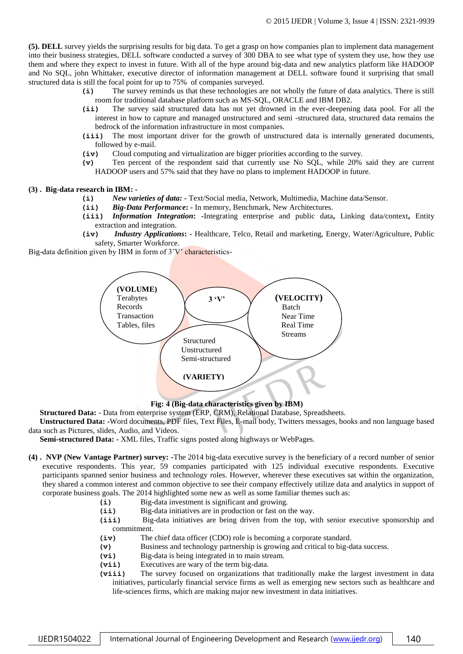**(5). DELL** survey yields the surprising results for big data. To get a grasp on how companies plan to implement data management into their business strategies, DELL software conducted a survey of 300 DBA to see what type of system they use, how they use them and where they expect to invest in future. With all of the hype around big-data and new analytics platform like HADOOP and No SQL, john Whittaker, executive director of information management at DELL software found it surprising that small structured data is still the focal point for up to 75% of companies surveyed.

- **(i)** The survey reminds us that these technologies are not wholly the future of data analytics. There is still room for traditional database platform such as MS-SQL, ORACLE and IBM DB2.
- **(ii)** The survey said structured data has not yet drowned in the ever-deepening data pool. For all the interest in how to capture and managed unstructured and semi -structured data, structured data remains the bedrock of the information infrastructure in most companies.
- **(iii)** The most important driver for the growth of unstructured data is internally generated documents, followed by e-mail.
- **(iv)** Cloud computing and virtualization are bigger priorities according to the survey.
- **(v)** Ten percent of the respondent said that currently use No SQL, while 20% said they are current HADOOP users and 57% said that they have no plans to implement HADOOP in future.

#### **(3) . Big-data research in IBM: -**

- **(i)** *New varieties of data: -* Text/Social media, Network, Multimedia, Machine data/Sensor.
- **(ii)** *Big-Data Performance***: -** In memory, Benchmark, New Architectures.
- **(iii)** *Information Integration***: -**Integrating enterprise and public data**,** Linking data/context**,** Entity extraction and integration.
- **(iv)** *Industry Applications***: -** Healthcare, Telco, Retail and marketing, Energy, Water/Agriculture, Public safety, Smarter Workforce.

Big-data definition given by IBM in form of 3'V' characteristics-



## **Fig: 4 (Big-data characteristics given by IBM)**

**Structured Data:** - Data from enterprise system (ERP, CRM), Relational Database, Spreadsheets.

**Unstructured Data: -**Word documents, PDF files, Text Files, E-mail body, Twitters messages, books and non language based data such as Pictures, slides, Audio, and Videos.

**Semi-structured Data: -** XML files, Traffic signs posted along highways or WebPages.

- **(4) . NVP (New Vantage Partner) survey: -**The 2014 big-data executive survey is the beneficiary of a record number of senior executive respondents. This year, 59 companies participated with 125 individual executive respondents. Executive participants spanned senior business and technology roles. However, wherever these executives sat within the organization, they shared a common interest and common objective to see their company effectively utilize data and analytics in support of corporate business goals. The 2014 highlighted some new as well as some familiar themes such as:
	- **(i)** Big-data investment is significant and growing.
	- **(ii)** Big-data initiatives are in production or fast on the way.
	- **(iii)** Big-data initiatives are being driven from the top, with senior executive sponsorship and commitment.
	- **(iv)** The chief data officer (CDO) role is becoming a corporate standard.
	- **(v)** Business and technology partnership is growing and critical to big-data success.
	- **(vi)** Big-data is being integrated in to main stream.
	- **(vii)** Executives are wary of the term big-data.
	- **(viii)** The survey focused on organizations that traditionally make the largest investment in data initiatives, particularly financial service firms as well as emerging new sectors such as healthcare and life-sciences firms, which are making major new investment in data initiatives.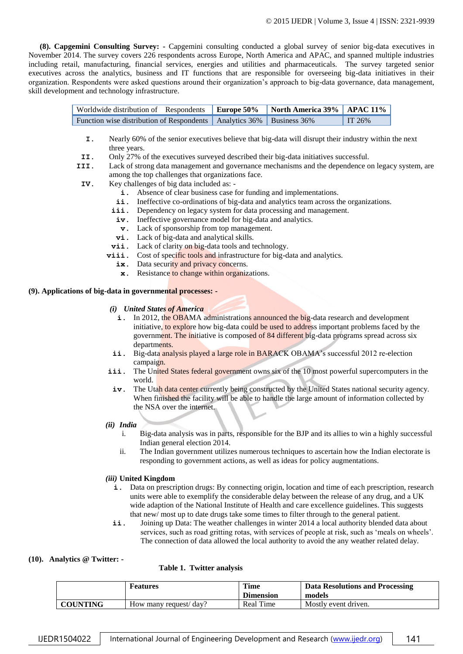**(8). Capgemini Consulting Survey: -** Capgemini consulting conducted a global survey of senior big-data executives in November 2014. The survey covers 226 respondents across Europe, North America and APAC, and spanned multiple industries including retail, manufacturing, financial services, energies and utilities and pharmaceuticals. The survey targeted senior executives across the analytics, business and IT functions that are responsible for overseeing big-data initiatives in their organization. Respondents were asked questions around their organization's approach to big-data governance, data management, skill development and technology infrastructure.

| Worldwide distribution of Respondents   Europe 50%   North America 39%   APAC 11% |  |                  |
|-----------------------------------------------------------------------------------|--|------------------|
| Function wise distribution of Respondents   Analytics 36%   Business 36%          |  | $\text{T}$ T 26% |

- **I.** Nearly 60% of the senior executives believe that big-data will disrupt their industry within the next three years.
- **II.** Only 27% of the executives surveyed described their big-data initiatives successful.
- **III.** Lack of strong data management and governance mechanisms and the dependence on legacy system, are among the top challenges that organizations face.
- **IV.** Key challenges of big data included as:
	- **i.** Absence of clear business case for funding and implementations.
	- ii. Ineffective co-ordinations of big-data and analytics team across the organizations.
	- iii. Dependency on legacy system for data processing and management.
		- **iv.** Ineffective governance model for big-data and analytics.
	- **v.** Lack of sponsorship from top management.
	- **vi.** Lack of big-data and analytical skills.
	- **vii.** Lack of clarity on big-data tools and technology.
	- **viii.** Cost of specific tools and infrastructure for big-data and analytics.
		- ix. Data security and privacy concerns.
			- **x**. Resistance to change within organizations.

## **(9). Applications of big-data in governmental processes: -**

- *(i) United States of America*
	- **i.** In 2012, the OBAMA administrations announced the big-data research and development initiative, to explore how big-data could be used to address important problems faced by the government. The initiative is composed of 84 different big-data programs spread across six departments.
- ii. Big-data analysis played a large role in BARACK OBAMA's successful 2012 re-election campaign.
- **iii.** The United States federal government owns six of the 10 most powerful supercomputers in the world.
	- iv. The Utah data center currently being constructed by the United States national security agency. When finished the facility will be able to handle the large amount of information collected by the NSA over the internet.
- *(ii) India*
	- i. Big-data analysis was in parts, responsible for the BJP and its allies to win a highly successful Indian general election 2014.
	- ii. The Indian government utilizes numerous techniques to ascertain how the Indian electorate is responding to government actions, as well as ideas for policy augmentations.

## *(iii)* **United Kingdom**

- **i.** Data on prescription drugs: By connecting origin, location and time of each prescription, research units were able to exemplify the considerable delay between the release of any drug, and a UK wide adaption of the National Institute of Health and care excellence guidelines. This suggests that new/ most up to date drugs take some times to filter through to the general patient.
- ii. Joining up Data: The weather challenges in winter 2014 a local authority blended data about services, such as road gritting rotas, with services of people at risk, such as 'meals on wheels'. The connection of data allowed the local authority to avoid the any weather related delay.

## **(10). Analytics @ Twitter: -**

 **Table 1. Twitter analysis**

|                 | <b>Features</b>        | <b>Time</b><br><b>Dimension</b> | Data Resolutions and Processing<br>models |
|-----------------|------------------------|---------------------------------|-------------------------------------------|
| <b>COUNTING</b> | How many request/ day? | Real Time                       | Mostly event driven.                      |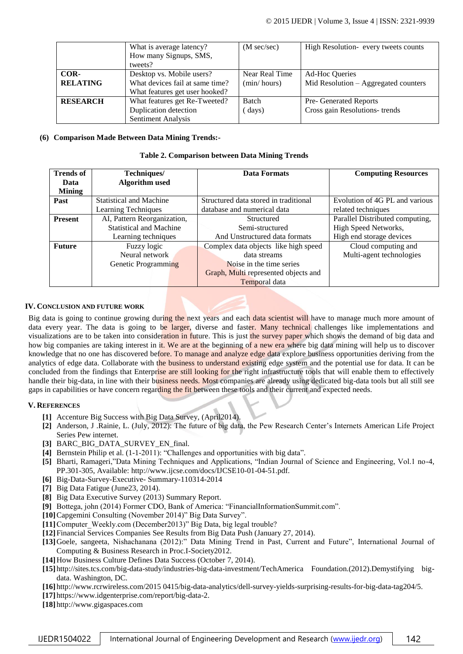|                 | What is average latency?<br>How many Signups, SMS, | $(M \text{ sec/sec})$ | High Resolution- every tweets counts |
|-----------------|----------------------------------------------------|-----------------------|--------------------------------------|
|                 | tweets?                                            |                       |                                      |
| COR-            | Desktop vs. Mobile users?                          | Near Real Time        | <b>Ad-Hoc Queries</b>                |
| <b>RELATING</b> | What devices fail at same time?                    | (min / hours)         | Mid Resolution - Aggregated counters |
|                 | What features get user hooked?                     |                       |                                      |
| <b>RESEARCH</b> | What features get Re-Tweeted?                      | <b>Batch</b>          | Pre- Generated Reports               |
|                 | Duplication detection                              | (days)                | Cross gain Resolutions- trends       |
|                 | Sentiment Analysis                                 |                       |                                      |

## **(6) Comparison Made Between Data Mining Trends:-**

## **Table 2. Comparison between Data Mining Trends**

| <b>Trends of</b> | Techniques/                    |  | <b>Data Formats</b>                   | <b>Computing Resources</b>      |
|------------------|--------------------------------|--|---------------------------------------|---------------------------------|
| Data             | Algorithm used                 |  |                                       |                                 |
| <b>Mining</b>    |                                |  |                                       |                                 |
| Past             | <b>Statistical and Machine</b> |  | Structured data stored in traditional | Evolution of 4G PL and various  |
|                  | Learning Techniques            |  | database and numerical data           | related techniques              |
| <b>Present</b>   | AI, Pattern Reorganization,    |  | Structured                            | Parallel Distributed computing, |
|                  | <b>Statistical and Machine</b> |  | Semi-structured                       | High Speed Networks,            |
|                  | Learning techniques            |  | And Unstructured data formats         | High end storage devices        |
| <b>Future</b>    | Fuzzy logic                    |  | Complex data objects like high speed  | Cloud computing and             |
|                  | Neural network                 |  | data streams                          | Multi-agent technologies        |
|                  | Genetic Programming            |  | Noise in the time series              |                                 |
|                  |                                |  | Graph, Multi represented objects and  |                                 |
|                  |                                |  | Temporal data                         |                                 |

## **IV. CONCLUSION AND FUTURE WORK**

Big data is going to continue growing during the next years and each data scientist will have to manage much more amount of data every year. The data is going to be larger, diverse and faster. Many technical challenges like implementations and visualizations are to be taken into consideration in future. This is just the survey paper which shows the demand of big data and how big companies are taking interest in it. We are at the beginning of a new era where big data mining will help us to discover knowledge that no one has discovered before. To manage and analyze edge data explore business opportunities deriving from the analytics of edge data. Collaborate with the business to understand existing edge system and the potential use for data. It can be concluded from the findings that Enterprise are still looking for the right infrastructure tools that will enable them to effectively handle their big-data, in line with their business needs. Most companies are already using dedicated big-data tools but all still see gaps in capabilities or have concern regarding the fit between these tools and their current and expected needs.

## **V. REFERENCES**

- **[1]** Accenture Big Success with Big Data Survey, (April2014).
- **[2]** Anderson, J .Rainie, L. (July, 2012): The future of big data, the Pew Research Center's Internets American Life Project Series Pew internet.
- [3] BARC BIG DATA SURVEY EN final.
- **[4]** Bernstein Philip et al. (1-1-2011): "Challenges and opportunities with big data".
- **[5]** Bharti, Ramageri,"Data Mining Techniques and Applications, "Indian Journal of Science and Engineering, Vol.1 no-4, PP.301-305, Available: http://www.ijcse.com/docs/IJCSE10-01-04-51.pdf.
- **[6]** Big-Data-Survey-Executive- Summary-110314-2014
- **[7]** Big Data Fatigue (June23, 2014).
- **[8]** Big Data Executive Survey (2013) Summary Report.
- **[9]** Bottega, john (2014) Former CDO, Bank of America: "FinancialInformationSummit.com".
- **[10]**Capgemini Consulting (November 2014)" Big Data Survey".
- [11] Computer Weekly.com (December2013)" Big Data, big legal trouble?
- **[12]**Financial Services Companies See Results from Big Data Push (January 27, 2014).
- **[13]**Goele, sangeeta, Nishachanana (2012):" Data Mining Trend in Past, Current and Future", International Journal of Computing & Business Research in Proc.I-Society2012.
- **[14]**How Business Culture Defines Data Success (October 7, 2014).
- **[15]** http://sites.tcs.com/big-data-study/industries-big-data-investment/TechAmerica Foundation.(2012).Demystifying bigdata. Washington, DC.
- **[16]** http://www.rcrwireless.com/2015 0415/big-data-analytics/dell-survey-yields-surprising-results-for-big-data-tag204/5.
- **[17]** https://www.idgenterprise.com/report/big-data-2.
- **[18]** http://www.gigaspaces.com